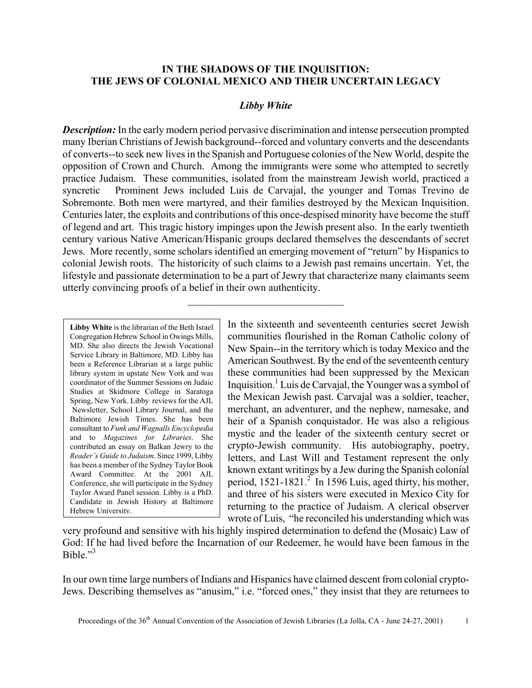### **IN THE SHADOWS OF THE INQUISITION: THE JEWS OF COLONIAL MEXICO AND THEIR UNCERTAIN LEGACY**

#### *Libby White*

*Description:* In the early modern period pervasive discrimination and intense persecution prompted many Iberian Christians of Jewish background--forced and voluntary converts and the descendants of converts--to seek new lives in the Spanish and Portuguese colonies of the New World, despite the opposition of Crown and Church. Among the immigrants were some who attempted to secretly practice Judaism. These communities, isolated from the mainstream Jewish world, practiced a syncretic Prominent Jews included Luis de Carvajal, the younger and Tomas Trevino de Sobremonte. Both men were martyred, and their families destroyed by the Mexican Inquisition. Centuries later, the exploits and contributions of this once-despised minority have become the stuff of legend and art. This tragic history impinges upon the Jewish present also. In the early twentieth century various Native American/Hispanic groups declared themselves the descendants of secret Jews. More recently, some scholars identified an emerging movement of "return" by Hispanics to colonial Jewish roots. The historicity of such claims to a Jewish past remains uncertain. Yet, the lifestyle and passionate determination to be a part of Jewry that characterize many claimants seem utterly convincing proofs of a belief in their own authenticity.

 $\mathcal{L}_\text{max}$  , where  $\mathcal{L}_\text{max}$  and  $\mathcal{L}_\text{max}$ 

**Libby White** is the librarian of the Beth Israel Congregation Hebrew School in Owings Mills, MD. She also directs the Jewish Vocational Service Library in Baltimore, MD. Libby has been a Reference Librarian at a large public library system in upstate New York and was coordinator of the Summer Sessions on Judaic Studies at Skidmore College in Saratoga Spring, New York. Libby reviews for the AJL Newsletter, School Library Journal, and the Baltimore Jewish Times. She has been consultant to *Funk and Wagnalls Encyclopedia* and to *Magazines for Libraries*. She contributed an essay on Balkan Jewry to the *Reader's Guide to Judaism*. Since 1999, Libby has been a member of the Sydney Taylor Book Award Committee. At the 2001 AJL Conference, she will participate in the Sydney Taylor Award Panel session. Libby is a PhD. Candidate in Jewish History at Baltimore Hebrew University.

In the sixteenth and seventeenth centuries secret Jewish communities flourished in the Roman Catholic colony of New Spain--in the territory which is today Mexico and the American Southwest. By the end of the seventeenth century these communities had been suppressed by the Mexican Inquisition.<sup>1</sup> Luis de Carvajal, the Younger was a symbol of the Mexican Jewish past. Carvajal was a soldier, teacher, merchant, an adventurer, and the nephew, namesake, and heir of a Spanish conquistador. He was also a religious mystic and the leader of the sixteenth century secret or crypto-Jewish community. His autobiography, poetry, letters, and Last Will and Testament represent the only known extant writings by a Jew during the Spanish colonial period,  $1521-1821<sup>2</sup>$  In 1596 Luis, aged thirty, his mother, and three of his sisters were executed in Mexico City for returning to the practice of Judaism. A clerical observer wrote of Luis, "he reconciled his understanding which was

very profound and sensitive with his highly inspired determination to defend the (Mosaic) Law of God: If he had lived before the Incarnation of our Redeemer, he would have been famous in the Bible $^{3}$ 

In our own time large numbers of Indians and Hispanics have claimed descent from colonial crypto-Jews. Describing themselves as "anusim," i.e. "forced ones," they insist that they are returnees to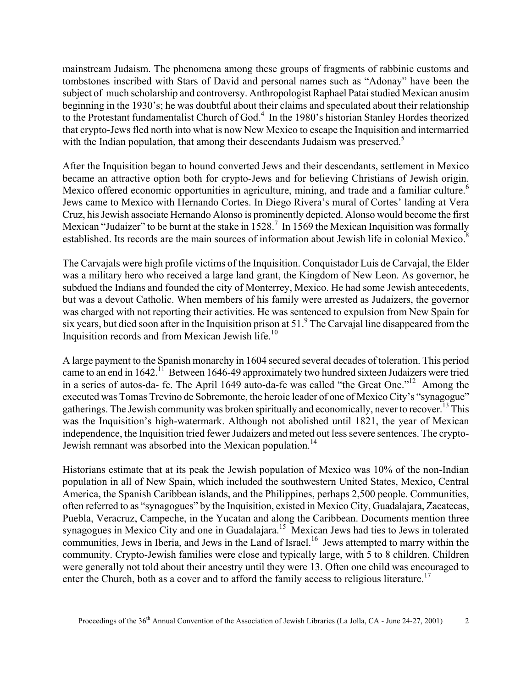mainstream Judaism. The phenomena among these groups of fragments of rabbinic customs and tombstones inscribed with Stars of David and personal names such as "Adonay" have been the subject of much scholarship and controversy. Anthropologist Raphael Patai studied Mexican anusim beginning in the 1930's; he was doubtful about their claims and speculated about their relationship to the Protestant fundamentalist Church of God.<sup>4</sup> In the 1980's historian Stanley Hordes theorized that crypto-Jews fled north into what is now New Mexico to escape the Inquisition and intermarried with the Indian population, that among their descendants Judaism was preserved.<sup>5</sup>

After the Inquisition began to hound converted Jews and their descendants, settlement in Mexico became an attractive option both for crypto-Jews and for believing Christians of Jewish origin. Mexico offered economic opportunities in agriculture, mining, and trade and a familiar culture.<sup>6</sup> Jews came to Mexico with Hernando Cortes. In Diego Rivera's mural of Cortes' landing at Vera Cruz, his Jewish associate Hernando Alonso is prominently depicted. Alonso would become the first Mexican "Judaizer" to be burnt at the stake in  $1528$ .<sup>7</sup> In 1569 the Mexican Inquisition was formally established. Its records are the main sources of information about Jewish life in colonial Mexico.<sup>8</sup>

The Carvajals were high profile victims of the Inquisition. Conquistador Luis de Carvajal, the Elder was a military hero who received a large land grant, the Kingdom of New Leon. As governor, he subdued the Indians and founded the city of Monterrey, Mexico. He had some Jewish antecedents, but was a devout Catholic. When members of his family were arrested as Judaizers, the governor was charged with not reporting their activities. He was sentenced to expulsion from New Spain for six years, but died soon after in the Inquisition prison at  $51<sup>9</sup>$  The Carvajal line disappeared from the Inquisition records and from Mexican Jewish life.<sup>10</sup>

A large payment to the Spanish monarchy in 1604 secured several decades of toleration. This period came to an end in 1642.<sup>11</sup> Between 1646-49 approximately two hundred sixteen Judaizers were tried in a series of autos-da- fe. The April 1649 auto-da-fe was called "the Great One."12 Among the executed was Tomas Trevino de Sobremonte, the heroic leader of one of Mexico City's "synagogue" gatherings. The Jewish community was broken spiritually and economically, never to recover.<sup>13</sup> This was the Inquisition's high-watermark. Although not abolished until 1821, the year of Mexican independence, the Inquisition tried fewer Judaizers and meted out less severe sentences. The crypto-Jewish remnant was absorbed into the Mexican population.<sup>14</sup>

Historians estimate that at its peak the Jewish population of Mexico was 10% of the non-Indian population in all of New Spain, which included the southwestern United States, Mexico, Central America, the Spanish Caribbean islands, and the Philippines, perhaps 2,500 people. Communities, often referred to as "synagogues" by the Inquisition, existed in Mexico City, Guadalajara, Zacatecas, Puebla, Veracruz, Campeche, in the Yucatan and along the Caribbean. Documents mention three synagogues in Mexico City and one in Guadalajara.<sup>15</sup> Mexican Jews had ties to Jews in tolerated communities, Jews in Iberia, and Jews in the Land of Israel.<sup>16</sup> Jews attempted to marry within the community. Crypto-Jewish families were close and typically large, with 5 to 8 children. Children were generally not told about their ancestry until they were 13. Often one child was encouraged to enter the Church, both as a cover and to afford the family access to religious literature.<sup>17</sup>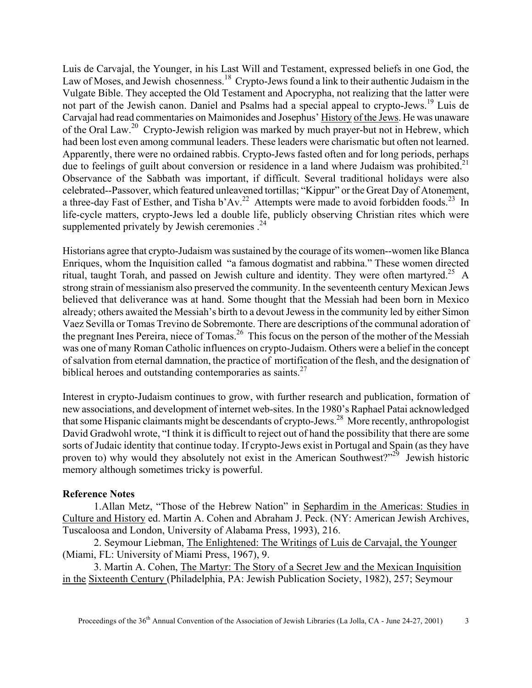Luis de Carvajal, the Younger, in his Last Will and Testament, expressed beliefs in one God, the Law of Moses, and Jewish chosenness.<sup>18</sup> Crypto-Jews found a link to their authentic Judaism in the Vulgate Bible. They accepted the Old Testament and Apocrypha, not realizing that the latter were not part of the Jewish canon. Daniel and Psalms had a special appeal to crypto-Jews.19 Luis de Carvajal had read commentaries on Maimonides and Josephus' History of the Jews. He was unaware of the Oral Law.<sup>20</sup> Crypto-Jewish religion was marked by much prayer-but not in Hebrew, which had been lost even among communal leaders. These leaders were charismatic but often not learned. Apparently, there were no ordained rabbis. Crypto-Jews fasted often and for long periods, perhaps due to feelings of guilt about conversion or residence in a land where Judaism was prohibited.<sup>21</sup> Observance of the Sabbath was important, if difficult. Several traditional holidays were also celebrated--Passover, which featured unleavened tortillas; "Kippur" or the Great Day of Atonement, a three-day Fast of Esther, and Tisha b'Av.<sup>22</sup> Attempts were made to avoid forbidden foods.<sup>23</sup> In life-cycle matters, crypto-Jews led a double life, publicly observing Christian rites which were supplemented privately by Jewish ceremonies  $.24$ 

Historians agree that crypto-Judaism was sustained by the courage of its women--women like Blanca Enriques, whom the Inquisition called "a famous dogmatist and rabbina." These women directed ritual, taught Torah, and passed on Jewish culture and identity. They were often martyred.<sup>25</sup> A strong strain of messianism also preserved the community. In the seventeenth century Mexican Jews believed that deliverance was at hand. Some thought that the Messiah had been born in Mexico already; others awaited the Messiah's birth to a devout Jewess in the community led by either Simon Vaez Sevilla or Tomas Trevino de Sobremonte. There are descriptions of the communal adoration of the pregnant Ines Pereira, niece of Tomas.<sup>26</sup> This focus on the person of the mother of the Messiah was one of many Roman Catholic influences on crypto-Judaism. Others were a belief in the concept of salvation from eternal damnation, the practice of mortification of the flesh, and the designation of biblical heroes and outstanding contemporaries as saints. $27$ 

Interest in crypto-Judaism continues to grow, with further research and publication, formation of new associations, and development of internet web-sites. In the 1980's Raphael Patai acknowledged that some Hispanic claimants might be descendants of crypto-Jews.28 More recently, anthropologist David Gradwohl wrote, "I think it is difficult to reject out of hand the possibility that there are some sorts of Judaic identity that continue today. If crypto-Jews exist in Portugal and Spain (as they have proven to) why would they absolutely not exist in the American Southwest?"29 Jewish historic memory although sometimes tricky is powerful.

#### **Reference Notes**

1.Allan Metz, "Those of the Hebrew Nation" in Sephardim in the Americas: Studies in Culture and History ed. Martin A. Cohen and Abraham J. Peck. (NY: American Jewish Archives, Tuscaloosa and London, University of Alabama Press, 1993), 216.

2. Seymour Liebman, The Enlightened: The Writings of Luis de Carvajal, the Younger (Miami, FL: University of Miami Press, 1967), 9.

3. Martin A. Cohen, The Martyr: The Story of a Secret Jew and the Mexican Inquisition in the Sixteenth Century (Philadelphia, PA: Jewish Publication Society, 1982), 257; Seymour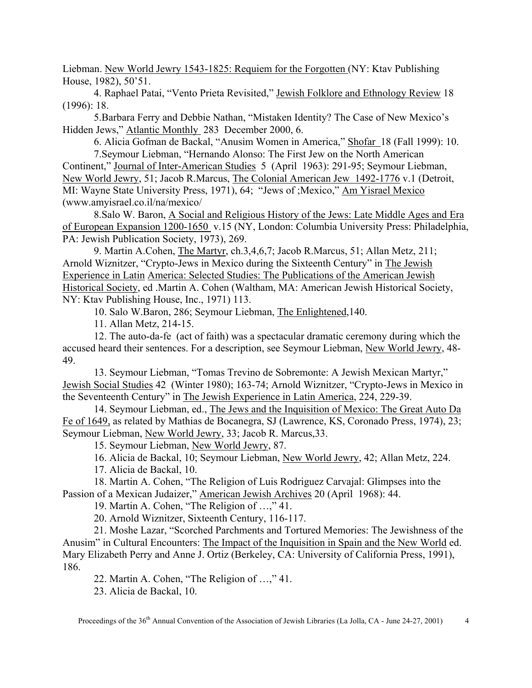Liebman. New World Jewry 1543-1825: Requiem for the Forgotten (NY: Ktav Publishing House, 1982), 50'51.

4. Raphael Patai, "Vento Prieta Revisited," Jewish Folklore and Ethnology Review 18 (1996): 18.

5.Barbara Ferry and Debbie Nathan, "Mistaken Identity? The Case of New Mexico's Hidden Jews," Atlantic Monthly 283 December 2000, 6.

6. Alicia Gofman de Backal, "Anusim Women in America," Shofar 18 (Fall 1999): 10. 7.Seymour Liebman, "Hernando Alonso: The First Jew on the North American

Continent," Journal of Inter-American Studies 5 (April 1963): 291-95; Seymour Liebman, New World Jewry, 51; Jacob R.Marcus, The Colonial American Jew 1492-1776 v.1 (Detroit, MI: Wayne State University Press, 1971), 64; "Jews of ;Mexico," Am Yisrael Mexico (www.amyisrael.co.il/na/mexico/

8.Salo W. Baron, A Social and Religious History of the Jews: Late Middle Ages and Era of European Expansion 1200-1650 v.15 (NY, London: Columbia University Press: Philadelphia, PA: Jewish Publication Society, 1973), 269.

9. Martin A.Cohen, The Martyr, ch.3,4,6,7; Jacob R.Marcus, 51; Allan Metz, 211; Arnold Wiznitzer, "Crypto-Jews in Mexico during the Sixteenth Century" in The Jewish Experience in Latin America: Selected Studies: The Publications of the American Jewish Historical Society, ed .Martin A. Cohen (Waltham, MA: American Jewish Historical Society, NY: Ktav Publishing House, Inc., 1971) 113.

10. Salo W.Baron, 286; Seymour Liebman, The Enlightened,140.

11. Allan Metz, 214-15.

12. The auto-da-fe (act of faith) was a spectacular dramatic ceremony during which the accused heard their sentences. For a description, see Seymour Liebman, New World Jewry, 48- 49.

13. Seymour Liebman, "Tomas Trevino de Sobremonte: A Jewish Mexican Martyr," Jewish Social Studies 42 (Winter 1980); 163-74; Arnold Wiznitzer, "Crypto-Jews in Mexico in the Seventeenth Century" in The Jewish Experience in Latin America, 224, 229-39.

14. Seymour Liebman, ed., The Jews and the Inquisition of Mexico: The Great Auto Da Fe of 1649, as related by Mathias de Bocanegra, SJ (Lawrence, KS, Coronado Press, 1974), 23; Seymour Liebman, New World Jewry, 33; Jacob R. Marcus,33.

15. Seymour Liebman, New World Jewry, 87.

16. Alicia de Backal, 10; Seymour Liebman, New World Jewry, 42; Allan Metz, 224.

17. Alicia de Backal, 10.

18. Martin A. Cohen, "The Religion of Luis Rodriguez Carvajal: Glimpses into the Passion of a Mexican Judaizer," American Jewish Archives 20 (April 1968): 44.

19. Martin A. Cohen, "The Religion of …," 41.

20. Arnold Wiznitzer, Sixteenth Century, 116-117.

21. Moshe Lazar, "Scorched Parchments and Tortured Memories: The Jewishness of the Anusim" in Cultural Encounters: The Impact of the Inquisition in Spain and the New World ed. Mary Elizabeth Perry and Anne J. Ortiz (Berkeley, CA: University of California Press, 1991), 186.

22. Martin A. Cohen, "The Religion of …," 41.

23. Alicia de Backal, 10.